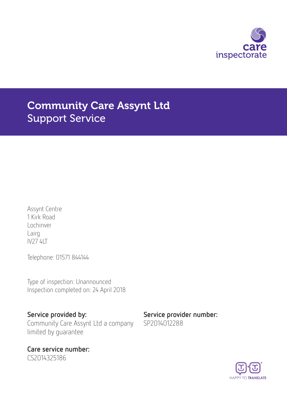

# Community Care Assynt Ltd Support Service

Assynt Centre 1 Kirk Road Lochinver Lairg IV27 4LT

Telephone: 01571 844144

Type of inspection: Unannounced Inspection completed on: 24 April 2018

Community Care Assynt Ltd a company limited by guarantee

Care service number: CS2014325186

Service provided by: Service provider number: SP2014012288

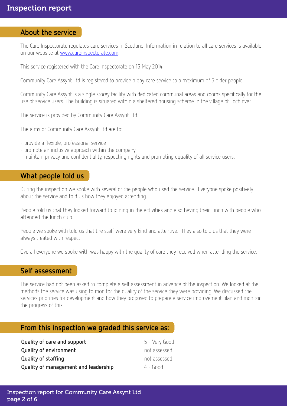## About the service

The Care Inspectorate regulates care services in Scotland. Information in relation to all care services is available on our website at [www.careinspectorate.com](http://www.careinspectorate.com).

This service registered with the Care Inspectorate on 15 May 2014.

Community Care Assynt Ltd is registered to provide a day care service to a maximum of 5 older people.

Community Care Assynt is a single storey facility with dedicated communal areas and rooms specifically for the use of service users. The building is situated within a sheltered housing scheme in the village of Lochinver.

The service is provided by Community Care Assynt Ltd.

The aims of Community Care Assynt Ltd are to:

- provide a flexible, professional service
- promote an inclusive approach within the company
- maintain privacy and confidentiality, respecting rights and promoting equality of all service users.

## What people told us

During the inspection we spoke with several of the people who used the service. Everyone spoke positively about the service and told us how they enjoyed attending.

People told us that they looked forward to joining in the activities and also having their lunch with people who attended the lunch club.

People we spoke with told us that the staff were very kind and attentive. They also told us that they were always treated with respect.

Overall everyone we spoke with was happy with the quality of care they received when attending the service.

### Self assessment

The service had not been asked to complete a self assessment in advance of the inspection. We looked at the methods the service was using to monitor the quality of the service they were providing. We discussed the services priorities for development and how they proposed to prepare a service improvement plan and monitor the progress of this.

## From this inspection we graded this service as:

| Quality of care and support          | 5 - Very Good |
|--------------------------------------|---------------|
| <b>Quality of environment</b>        | not assessed  |
| <b>Quality of staffing</b>           | not assessed  |
| Quality of management and leadership | $4 - 6$       |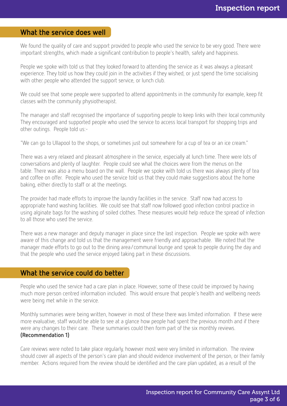## What the service does well

We found the quality of care and support provided to people who used the service to be very good. There were important strengths, which made a significant contribution to people's health, safety and happiness.

People we spoke with told us that they looked forward to attending the service as it was always a pleasant experience. They told us how they could join in the activities if they wished, or just spend the time socialising with other people who attended the support service, or lunch club.

We could see that some people were supported to attend appointments in the community for example, keep fit classes with the community physiotherapist.

The manager and staff recognised the importance of supporting people to keep links with their local community. They encouraged and supported people who used the service to access local transport for shopping trips and other outings. People told us:-

"We can go to Ullapool to the shops, or sometimes just out somewhere for a cup of tea or an ice cream."

There was a very relaxed and pleasant atmosphere in the service, especially at lunch time. There were lots of conversations and plenty of laughter. People could see what the choices were from the menus on the table. There was also a menu board on the wall. People we spoke with told us there was always plenty of tea and coffee on offer. People who used the service told us that they could make suggestions about the home baking, either directly to staff or at the meetings.

The provider had made efforts to improve the laundry facilities in the service. Staff now had access to appropriate hand washing facilities. We could see that staff now followed good infection control practice in using alginate bags for the washing of soiled clothes. These measures would help reduce the spread of infection to all those who used the service.

There was a new manager and deputy manager in place since the last inspection. People we spoke with were aware of this change and told us that the management were friendly and approachable. We noted that the manager made efforts to go out to the dining area/communal lounge and speak to people during the day and that the people who used the service enjoyed taking part in these discussions.

## What the service could do better

People who used the service had a care plan in place. However, some of these could be improved by having much more person centred information included. This would ensure that people's health and wellbeing needs were being met while in the service.

Monthly summaries were being written, however in most of these there was limited information. If these were more evaluative, staff would be able to see at a glance how people had spent the previous month and if there were any changes to their care. These summaries could then form part of the six monthly reviews. (Recommendation 1)

Care reviews were noted to take place regularly, however most were very limited in information. The review should cover all aspects of the person's care plan and should evidence involvement of the person, or their family member. Actions required from the review should be identified and the care plan updated, as a result of the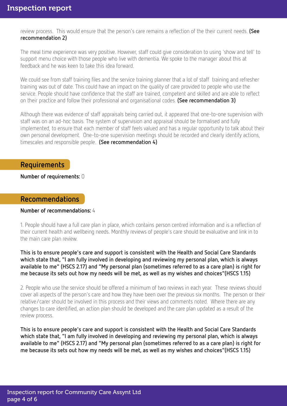review process. This would ensure that the person's care remains a reflection of the their current needs. (See recommendation 2)

The meal time experience was very positive. However, staff could give consideration to using 'show and tell' to support menu choice with those people who live with dementia. We spoke to the manager about this at feedback and he was keen to take this idea forward.

We could see from staff training files and the service training planner that a lot of staff training and refresher training was out of date. This could have an impact on the quality of care provided to people who use the service. People should have confidence that the staff are trained, competent and skilled and are able to reflect on their practice and follow their professional and organisational codes. (See recommendation 3)

Although there was evidence of staff appraisals being carried out, it appeared that one-to-one supervision with staff was on an ad-hoc basis. The system of supervision and appraisal should be formalised and fully implemented, to ensure that each member of staff feels valued and has a regular opportunity to talk about their own personal development. One-to-one supervision meetings should be recorded and clearly identify actions, timescales and responsible people. (See recommendation 4)

## Requirements

Number of requirements: 0

## Recommendations

#### Number of recommendations: 4

1. People should have a full care plan in place, which contains person centred information and is a reflection of their current health and wellbeing needs. Monthly reviews of people's care should be evaluative and link in to the main care plan review.

This is to ensure people's care and support is consistent with the Health and Social Care Standards which state that, "I am fully involved in developing and reviewing my personal plan, which is always available to me" (HSCS 2.17) and "My personal plan (sometimes referred to as a care plan) is right for me because its sets out how my needs will be met, as well as my wishes and choices"(HSCS 1.15)

2. People who use the service should be offered a minimum of two reviews in each year. These reviews should cover all aspects of the person's care and how they have been over the previous six months. The person or their relative/carer should be involved in this process and their views and comments noted. Where there are any changes to care identified, an action plan should be developed and the care plan updated as a result of the review process.

This is to ensure people's care and support is consistent with the Health and Social Care Standards which state that, "I am fully involved in developing and reviewing my personal plan, which is always available to me" (HSCS 2.17) and "My personal plan (sometimes referred to as a care plan) is right for me because its sets out how my needs will be met, as well as my wishes and choices"(HSCS 1.15)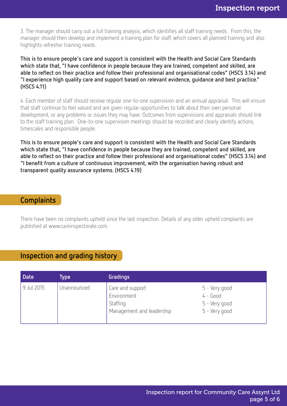3. The manager should carry out a full training analysis, which identifies all staff training needs. From this, the manager should then develop and implement a training plan for staff, which covers all planned training and also highlights refresher training needs.

This is to ensure people's care and support is consistent with the Health and Social Care Standards which state that, "I have confidence in people because they are trained, competent and skilled, are able to reflect on their practice and follow their professional and organisational codes" (HSCS 3.14) and "I experience high quality care and support based on relevant evidence, guidance and best practice." (HSCS 4.11)

4. Each member of staff should receive regular one-to-one supervision and an annual appraisal. This will ensure that staff continue to feel valued and are given regular opportunities to talk about their own personal development, or any problems or issues they may have. Outcomes from supervisions and appraisals should link to the staff training plan. One-to-one supervision meetings should be recorded and clearly identify actions, timescales and responsible people.

This is to ensure people's care and support is consistent with the Health and Social Care Standards which state that, "I have confidence in people because they are trained, competent and skilled, are able to reflect on their practice and follow their professional and organisational codes" (HSCS 3.14) and "I benefit from a culture of continuous improvement, with the organisation having robust and transparent quality assurance systems. (HSCS 4.19)

## **Complaints**

There have been no complaints upheld since the last inspection. Details of any older upheld complaints are published at www.careinspectorate.com.

## Inspection and grading history

| <b>Date</b> | Type        | Gradings                                                                 |                                                               |
|-------------|-------------|--------------------------------------------------------------------------|---------------------------------------------------------------|
| 9 Jul 2015  | Unannounced | Care and support<br>Environment<br>Staffing<br>Management and leadership | 5 - Very good<br>$4 - Good$<br>5 - Very good<br>5 - Very good |